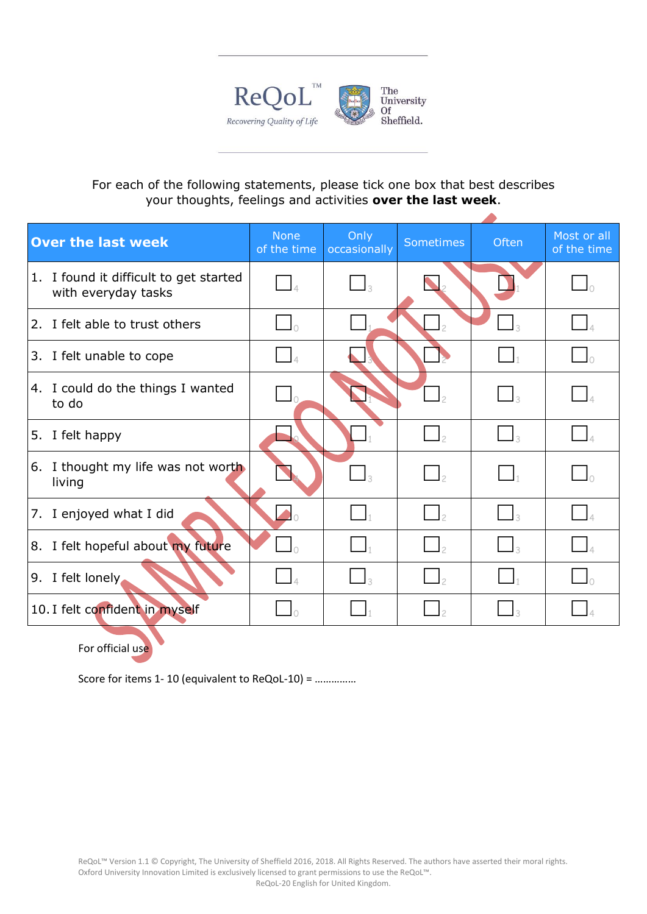

## For each of the following statements, please tick one box that best describes your thoughts, feelings and activities **over the last week**.

| <b>Over the last week</b> |                                                            | <b>None</b><br>of the time | Only<br>occasionally       | Sometimes                | <b>Often</b>               | Most or all<br>of the time |
|---------------------------|------------------------------------------------------------|----------------------------|----------------------------|--------------------------|----------------------------|----------------------------|
| 1.                        | I found it difficult to get started<br>with everyday tasks |                            | $\overline{\phantom{a}}$ 3 |                          |                            |                            |
|                           | 2. I felt able to trust others                             |                            |                            |                          |                            |                            |
|                           | 3. I felt unable to cope                                   |                            |                            |                          |                            |                            |
|                           | 4. I could do the things I wanted<br>to do                 |                            |                            |                          | $\overline{\phantom{a}}$ 3 |                            |
| 5.                        | I felt happy                                               |                            |                            | $\mathsf{I}_2$           |                            |                            |
| 6.                        | I thought my life was not worth<br>living                  |                            | $\Box_3$                   | $\overline{\phantom{a}}$ | $\mathbf{L}$               |                            |
| 7.                        | I enjoyed what I did                                       | $\blacktriangleleft_0$     |                            | $\Box$ 2                 | $\Box$ 3                   |                            |
|                           | 8. I felt hopeful about my future                          |                            |                            | $\overline{\phantom{a}}$ |                            |                            |
|                           | 9. I felt lonely                                           |                            |                            | $\vert$ <sub>2</sub>     |                            |                            |
|                           | 10. I felt confident in myself                             |                            |                            |                          |                            |                            |

For official use

Score for items 1- 10 (equivalent to ReQoL-10) = ……………